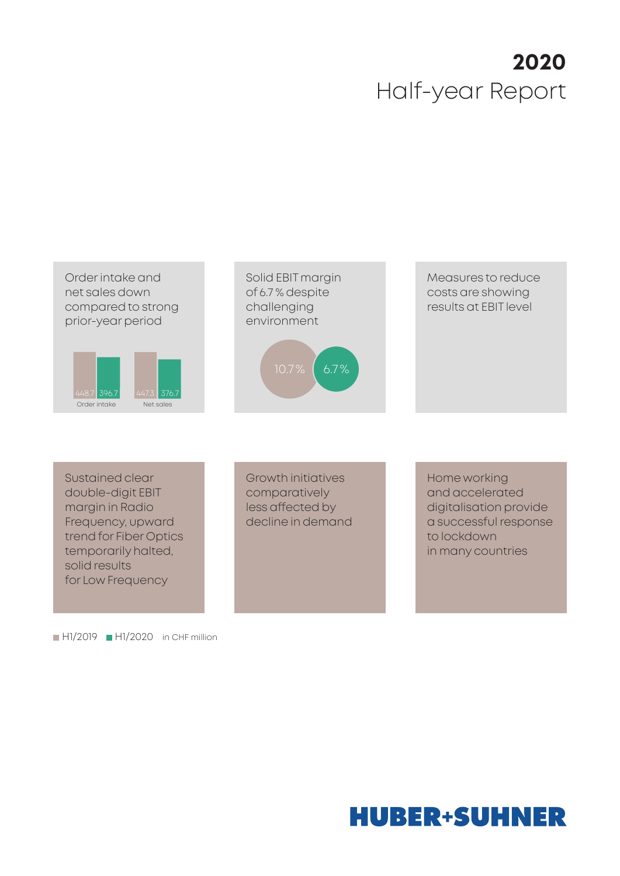# **2020** Half-year Report



Sustained clear double-digit EBIT margin in Radio Frequency, upward trend for Fiber Optics temporarily halted, solid results for Low Frequency

 $H1/2019$  H $1/2020$  in CHF million

Growth initiatives comparatively less affected by decline in demand Home working and accelerated digitalisation provide a successful response to lockdown in many countries

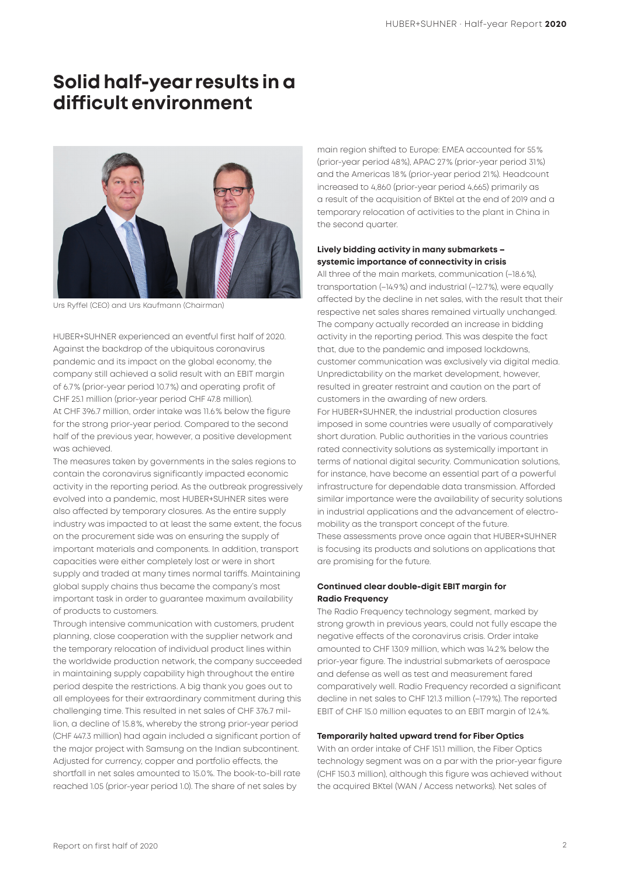### **Solid half-year results in a difficult environment**



Urs Ryffel (CEO) and Urs Kaufmann (Chairman)

HUBER+SUHNER experienced an eventful first half of 2020. Against the backdrop of the ubiquitous coronavirus pandemic and its impact on the global economy, the company still achieved a solid result with an EBIT margin of 6.7% (prior-year period 10.7%) and operating profit of CHF 25.1 million (prior-year period CHF 47.8 million). At CHF 396.7 million, order intake was 11.6% below the figure for the strong prior-year period. Compared to the second half of the previous year, however, a positive development was achieved.

The measures taken by governments in the sales regions to contain the coronavirus significantly impacted economic activity in the reporting period. As the outbreak progressively evolved into a pandemic, most HUBER+SUHNER sites were also affected by temporary closures. As the entire supply industry was impacted to at least the same extent, the focus on the procurement side was on ensuring the supply of important materials and components. In addition, transport capacities were either completely lost or were in short supply and traded at many times normal tariffs. Maintaining global supply chains thus became the company's most important task in order to guarantee maximum availability of products to customers.

Through intensive communication with customers, prudent planning, close cooperation with the supplier network and the temporary relocation of individual product lines within the worldwide production network, the company succeeded in maintaining supply capability high throughout the entire period despite the restrictions. A big thank you goes out to all employees for their extraordinary commitment during this challenging time. This resulted in net sales of CHF 376.7 million, a decline of 15.8%, whereby the strong prior-year period (CHF 447.3 million) had again included a significant portion of the major project with Samsung on the Indian subcontinent. Adjusted for currency, copper and portfolio effects, the shortfall in net sales amounted to 15.0%. The book-to-bill rate reached 1.05 (prior-year period 1.0). The share of net sales by

main region shifted to Europe: EMEA accounted for 55% (prior-year period 48%), APAC 27% (prior-year period 31%) and the Americas 18% (prior-year period 21%). Headcount increased to 4,860 (prior-year period 4,665) primarily as a result of the acquisition of BKtel at the end of 2019 and a temporary relocation of activities to the plant in China in the second quarter.

### **Lively bidding activity in many submarkets – systemic importance of connectivity in crisis**

All three of the main markets, communication (–18.6%), transportation (–14.9%) and industrial (–12.7%), were equally affected by the decline in net sales, with the result that their respective net sales shares remained virtually unchanged. The company actually recorded an increase in bidding activity in the reporting period. This was despite the fact that, due to the pandemic and imposed lockdowns, customer communication was exclusively via digital media. Unpredictability on the market development, however, resulted in greater restraint and caution on the part of customers in the awarding of new orders. For HUBER+SUHNER, the industrial production closures imposed in some countries were usually of comparatively short duration. Public authorities in the various countries rated connectivity solutions as systemically important in terms of national digital security. Communication solutions, for instance, have become an essential part of a powerful infrastructure for dependable data transmission. Afforded similar importance were the availability of security solutions in industrial applications and the advancement of electromobility as the transport concept of the future. These assessments prove once again that HUBER+SUHNER is focusing its products and solutions on applications that are promising for the future.

### **Continued clear double-digit EBIT margin for Radio Frequency**

The Radio Frequency technology segment, marked by strong growth in previous years, could not fully escape the negative effects of the coronavirus crisis. Order intake amounted to CHF 130.9 million, which was 14.2% below the prior-year figure. The industrial submarkets of aerospace and defense as well as test and measurement fared comparatively well. Radio Frequency recorded a significant decline in net sales to CHF 121.3 million (–17.9%). The reported EBIT of CHF 15.0 million equates to an EBIT margin of 12.4%.

### **Temporarily halted upward trend for Fiber Optics**

With an order intake of CHF 151.1 million, the Fiber Optics technology segment was on a par with the prior-year figure (CHF 150.3 million), although this figure was achieved without the acquired BKtel (WAN / Access networks). Net sales of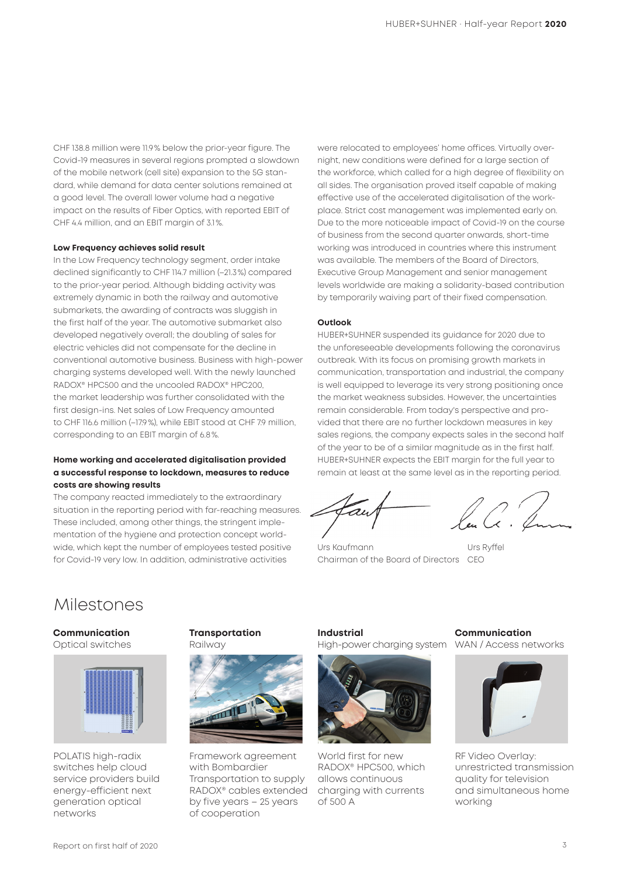CHF 138.8 million were 11.9% below the prior-year figure. The Covid-19 measures in several regions prompted a slowdown of the mobile network (cell site) expansion to the 5G standard, while demand for data center solutions remained at a good level. The overall lower volume had a negative impact on the results of Fiber Optics, with reported EBIT of CHF 4.4 million, and an EBIT margin of 3.1%.

#### **Low Frequency achieves solid result**

In the Low Frequency technology segment, order intake declined significantly to CHF 114.7 million (–21.3%) compared to the prior-year period. Although bidding activity was extremely dynamic in both the railway and automotive submarkets, the awarding of contracts was sluggish in the first half of the year. The automotive submarket also developed negatively overall; the doubling of sales for electric vehicles did not compensate for the decline in conventional automotive business. Business with high-power charging systems developed well. With the newly launched RADOX® HPC500 and the uncooled RADOX® HPC200, the market leadership was further consolidated with the first design-ins. Net sales of Low Frequency amounted to CHF 116.6 million (–17.9%), while EBIT stood at CHF 7.9 million, corresponding to an EBIT margin of 6.8%.

### **Home working and accelerated digitalisation provided a successful response to lockdown, measures to reduce costs are showing results**

The company reacted immediately to the extraordinary situation in the reporting period with far-reaching measures. These included, among other things, the stringent implementation of the hygiene and protection concept worldwide, which kept the number of employees tested positive for Covid-19 very low. In addition, administrative activities

were relocated to employees' home offices. Virtually overnight, new conditions were defined for a large section of the workforce, which called for a high degree of flexibility on all sides. The organisation proved itself capable of making effective use of the accelerated digitalisation of the workplace. Strict cost management was implemented early on. Due to the more noticeable impact of Covid-19 on the course of business from the second quarter onwards, short-time working was introduced in countries where this instrument was available. The members of the Board of Directors, Executive Group Management and senior management levels worldwide are making a solidarity-based contribution by temporarily waiving part of their fixed compensation.

### **Outlook**

HUBER+SUHNER suspended its guidance for 2020 due to the unforeseeable developments following the coronavirus outbreak. With its focus on promising growth markets in communication, transportation and industrial, the company is well equipped to leverage its very strong positioning once the market weakness subsides. However, the uncertainties remain considerable. From today's perspective and provided that there are no further lockdown measures in key sales regions, the company expects sales in the second half of the year to be of a similar magnitude as in the first half. HUBER+SUHNER expects the EBIT margin for the full year to remain at least at the same level as in the reporting period.

Urs Kaufmann Urs Ryffel Chairman of the Board of Directors CEO

### Milestones

#### **Communication**  Optical switches





POLATIS high-radix switches help cloud service providers build energy-efficient next generation optical networks

**Transportation**  Railway



Framework agreement with Bombardier Transportation to supply RADOX® cables extended by five years – 25 years of cooperation

**Industrial**  High-power charging system WAN / Access networks



World first for new RADOX® HPC500, which allows continuous charging with currents of 500 A

**Communication** 



RF Video Overlay: unrestricted transmission quality for television and simultaneous home working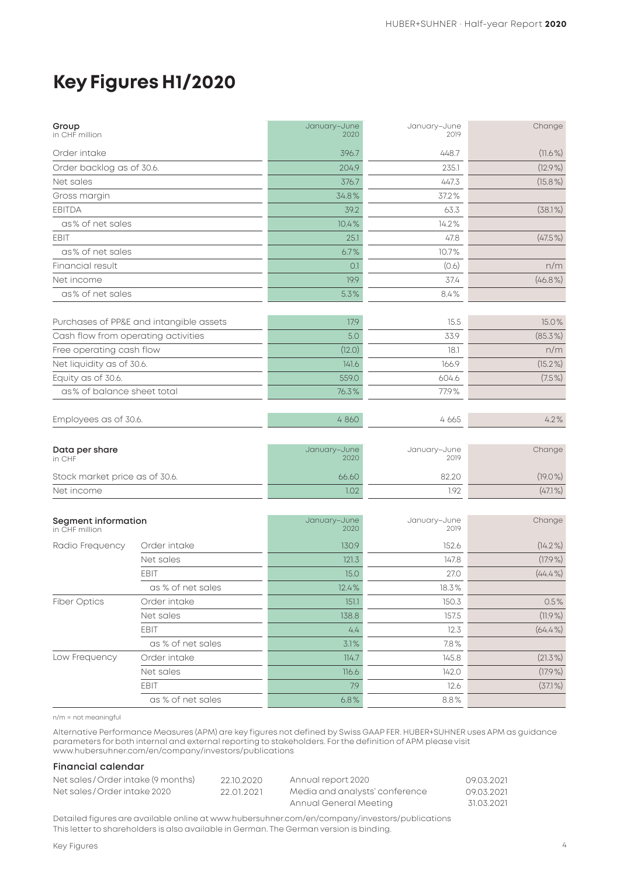# **Key Figures H1/2020**

| Group<br>in CHF million                      |                                         | January-June<br>2020 | January-June<br>2019 | Change     |
|----------------------------------------------|-----------------------------------------|----------------------|----------------------|------------|
| Order intake                                 |                                         | 396.7                | 448.7                | $(11.6\%)$ |
| Order backlog as of 30.6.                    |                                         | 204.9                | 235.1                | $(12.9\%)$ |
| Net sales                                    |                                         | 376.7                | 447.3                | $(15.8\%)$ |
| Gross margin                                 |                                         | 34.8%                | 37.2%                |            |
| <b>EBITDA</b>                                |                                         | 39.2                 | 63.3                 | (38.1%)    |
| as% of net sales                             |                                         | 10.4%                | 14.2%                |            |
| EBIT                                         |                                         | 25.1                 | 47.8                 | $(47.5\%)$ |
| as% of net sales                             |                                         | 6.7%                 | 10.7%                |            |
| Financial result                             |                                         | O.1                  | (0.6)                | n/m        |
| Net income                                   |                                         | 19.9                 | 37.4                 | $(46.8\%)$ |
| as% of net sales                             |                                         | 5.3%                 | 8.4%                 |            |
|                                              | Purchases of PP&E and intangible assets | 17.9                 | 15.5                 | 15.0%      |
| Cash flow from operating activities          |                                         | 5.0                  | 33.9                 | $(85.3\%)$ |
| Free operating cash flow                     |                                         | (12.0)               | 18.1                 | n/m        |
| Net liquidity as of 30.6.                    |                                         | 141.6                | 166.9                | $(15.2\%)$ |
| Equity as of 30.6.                           |                                         | 559.0                | 604.6                | $(7.5\%)$  |
| as% of balance sheet total                   |                                         | 76.3%                | 77.9%                |            |
|                                              |                                         |                      |                      |            |
| Employees as of 30.6.                        |                                         | 4860                 | 4 6 6 5              | 4.2%       |
| Data per share<br>in CHF                     |                                         | January-June<br>2020 | January-June<br>2019 | Change     |
| Stock market price as of 30.6.               |                                         | 66.60                | 82.20                | $(19.0\%)$ |
| Net income                                   |                                         | 1.02                 | 1.92                 | $(47.1\%)$ |
| <b>Segment information</b><br>in CHF million |                                         | January-June<br>2020 | January-June<br>2019 | Change     |
| Radio Frequency                              | Order intake                            | 130.9                | 152.6                | $(14.2\%)$ |
|                                              | Net sales                               | 121.3                | 147.8                | $(17.9\%)$ |
|                                              | <b>EBIT</b>                             | 15.0                 | 27.0                 | $(44.4\%)$ |
|                                              | as % of net sales                       | 12.4%                | 18.3%                |            |
| <b>Fiber Optics</b>                          | Order intake                            | 151.1                | 150.3                | 0.5%       |
|                                              | Net sales                               | 138.8                | 157.5                | $(11.9\%)$ |
|                                              | EBIT                                    | 4.4                  | 12.3                 | $(64.4\%)$ |
|                                              | as % of net sales                       | 3.1%                 | 7.8%                 |            |
| Low Frequency                                | Order intake                            | 114.7                | 145.8                | $(21.3\%)$ |
|                                              | Net sales                               | 116.6                | 142.0                | $(17.9\%)$ |
|                                              | EBIT                                    | 7.9                  | 12.6                 | $(37.1\%)$ |
|                                              | as % of net sales                       | 6.8%                 | 8.8%                 |            |

n/m = not meaningful

Alternative Performance Measures (APM) are key figures not defined by Swiss GAAP FER. HUBER+SUHNER uses APM as guidance parameters for both internal and external reporting to stakeholders. For the definition of APM please visit www.hubersuhner.com/en/company/investors/publications

### **Financial calendar**

| Net sales / Order intake (9 months) | 22.10.2020 | Annual report 2020             | 09.03.2021 |
|-------------------------------------|------------|--------------------------------|------------|
| Net sales / Order intake 2020       | 22.01.2021 | Media and analysts' conference | 09.03.2021 |
|                                     |            | Annual General Meeting         | 31.03.2021 |

Detailed figures are available online at www.hubersuhner.com/en/company/investors/publications This letter to shareholders is also available in German. The German version is binding.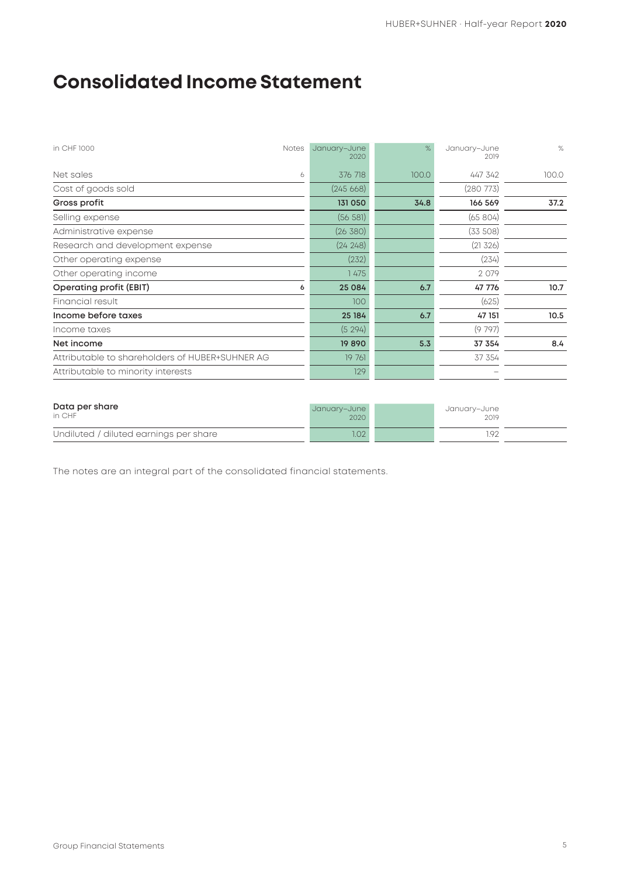# **Consolidated Income Statement**

| 2020     | $\frac{9}{6}$                | January-June<br>2019 | $\%$  |
|----------|------------------------------|----------------------|-------|
| 376 718  | 100.0                        | 447 342              | 100.0 |
| (245668) |                              | (280 773)            |       |
| 131 050  | 34.8                         | 166 569              | 37.2  |
| (56 581) |                              | (65804)              |       |
| (26 380) |                              | (33 508)             |       |
| (24248)  |                              | (21 326)             |       |
| (232)    |                              | (234)                |       |
| 1 475    |                              | 2 0 7 9              |       |
| 25 084   | 6.7                          | 47 776               | 10.7  |
| 100      |                              | (625)                |       |
| 25 184   | 6.7                          | 47 151               | 10.5  |
| (5294)   |                              | (9797)               |       |
| 19890    | 5.3                          | 37 354               | 8.4   |
| 19 761   |                              | 37 354               |       |
| 129      |                              |                      |       |
| 6<br>6   | January-June<br><b>Notes</b> |                      |       |

| Data per share<br>in CHF               | January-June<br>2020 | January–June<br>2019 |  |
|----------------------------------------|----------------------|----------------------|--|
| Undiluted / diluted earnings per share | 1.02                 | ۱Q۵                  |  |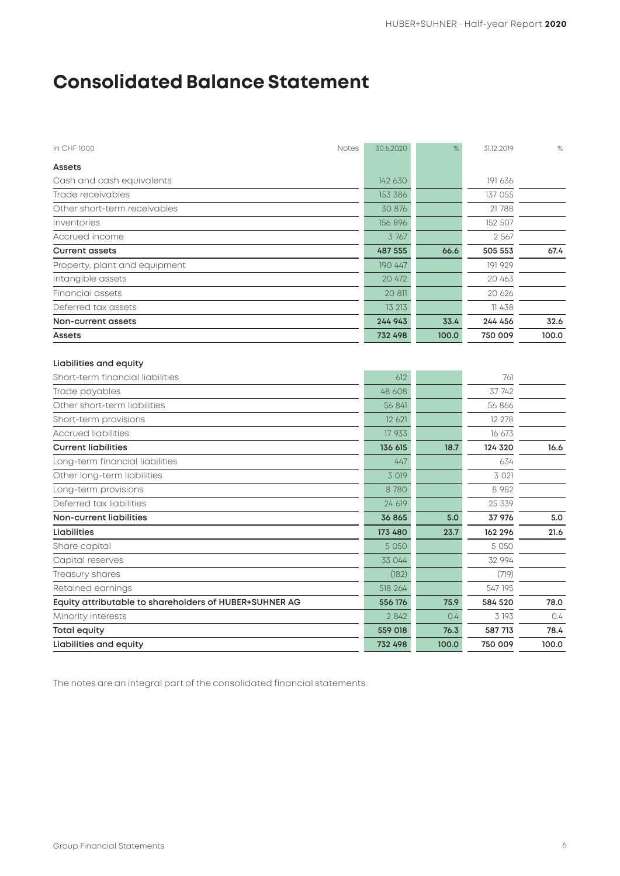# **Consolidated Balance Statement**

| in CHF 1000                                                                                                                                                             | Notes<br>30.6.2020                                     | $\%$  | 31.12.2019                                             | $\%$  |
|-------------------------------------------------------------------------------------------------------------------------------------------------------------------------|--------------------------------------------------------|-------|--------------------------------------------------------|-------|
| Assets                                                                                                                                                                  |                                                        |       |                                                        |       |
| Cash and cash equivalents                                                                                                                                               | 142 630                                                |       | 191 636                                                |       |
| Trade receivables                                                                                                                                                       | 153 386                                                |       | 137 055                                                |       |
| Other short-term receivables                                                                                                                                            | 30 876                                                 |       | 21788                                                  |       |
| Inventories                                                                                                                                                             | 156 896                                                |       | 152 507                                                |       |
| Accrued income                                                                                                                                                          | 3 767                                                  |       | 2 5 6 7                                                |       |
| <b>Current assets</b>                                                                                                                                                   | 487 555                                                | 66.6  | 505 553                                                | 67.4  |
| Property, plant and equipment                                                                                                                                           | 190 447                                                |       | 191 929                                                |       |
| Intangible assets                                                                                                                                                       | 20 472                                                 |       | 20 463                                                 |       |
| Financial assets                                                                                                                                                        | 20 811                                                 |       | 20 626                                                 |       |
| Deferred tax assets                                                                                                                                                     | 13 213                                                 |       | 11 438                                                 |       |
| Non-current assets                                                                                                                                                      | 244 943                                                | 33.4  | 244 456                                                | 32.6  |
| Assets                                                                                                                                                                  | 732 498                                                | 100.0 | 750 009                                                | 100.0 |
| Short-term financial liabilities<br>Trade payables<br>Other short-term liabilities<br>Short-term provisions<br><b>Accrued liabilities</b><br><b>Current liabilities</b> | 612<br>48 608<br>56 841<br>12 621<br>17 933<br>136 615 | 18.7  | 761<br>37 742<br>56 866<br>12 278<br>16 673<br>124 320 | 16.6  |
| Long-term financial liabilities                                                                                                                                         | 447                                                    |       | 634                                                    |       |
| Other long-term liabilities                                                                                                                                             | 3 0 19                                                 |       | 3 0 2 1                                                |       |
| Long-term provisions                                                                                                                                                    | 8780                                                   |       | 8 9 8 2                                                |       |
| Deferred tax liabilities                                                                                                                                                | 24 619                                                 |       | 25 339                                                 |       |
| <b>Non-current liabilities</b>                                                                                                                                          | 36 865                                                 | 5.0   | 37 976                                                 | 5.0   |
| <b>Liabilities</b>                                                                                                                                                      | 173 480                                                | 23.7  | 162 296                                                | 21.6  |
| Share capital                                                                                                                                                           | 5 0 5 0                                                |       | 5 0 5 0                                                |       |
| Capital reserves                                                                                                                                                        | 33 044                                                 |       | 32 994                                                 |       |
| Treasury shares                                                                                                                                                         | (182)                                                  |       | (719)                                                  |       |
| Retained earnings                                                                                                                                                       | 518 264                                                |       | 547 195                                                |       |
| Equity attributable to shareholders of HUBER+SUHNER AG                                                                                                                  | 556 176                                                | 75.9  | 584 520                                                | 78.0  |
| Minority interests                                                                                                                                                      | 2 8 4 2                                                | 0.4   | 3 193                                                  | 0.4   |
| <b>Total equity</b>                                                                                                                                                     | 559 018                                                | 76.3  | 587 713                                                | 78.4  |
| Liabilities and equity                                                                                                                                                  | 732 498                                                | 100.0 | 750 009                                                | 100.0 |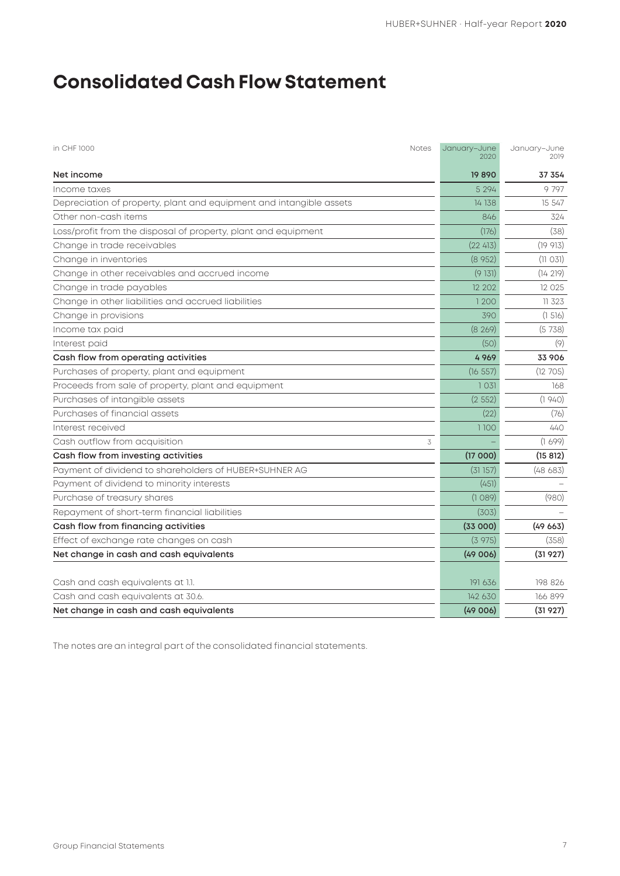# **Consolidated Cash Flow Statement**

| in CHF 1000<br>Notes                                                | January-June<br>2020 | January-June<br>2019 |
|---------------------------------------------------------------------|----------------------|----------------------|
| Net income                                                          | 19890                | 37 354               |
| Income taxes                                                        | 5 2 9 4              | 9 7 9 7              |
| Depreciation of property, plant and equipment and intangible assets | 14 138               | 15 547               |
| Other non-cash items                                                | 846                  | 324                  |
| Loss/profit from the disposal of property, plant and equipment      | (176)                | (38)                 |
| Change in trade receivables                                         | (22 413)             | (19913)              |
| Change in inventories                                               | (8952)               | (11031)              |
| Change in other receivables and accrued income                      | (9131)               | (14219)              |
| Change in trade payables                                            | 12 202               | 12 0 25              |
| Change in other liabilities and accrued liabilities                 | 1200                 | 11 323               |
| Change in provisions                                                | 390                  | (1516)               |
| Income tax paid                                                     | (8269)               | (5738)               |
| Interest paid                                                       | (50)                 | (9)                  |
| Cash flow from operating activities                                 | 4969                 | 33 906               |
| Purchases of property, plant and equipment                          | (16 557)             | (12, 705)            |
| Proceeds from sale of property, plant and equipment                 | 1031                 | 168                  |
| Purchases of intangible assets                                      | (2552)               | (1940)               |
| Purchases of financial assets                                       | (22)                 | (76)                 |
| Interest received                                                   | 1100                 | 440                  |
| Cash outflow from acquisition<br>3                                  |                      | (1699)               |
| Cash flow from investing activities                                 | (17000)              | (15 812)             |
| Payment of dividend to shareholders of HUBER+SUHNER AG              | (31157)              | (48683)              |
| Payment of dividend to minority interests                           | (451)                |                      |
| Purchase of treasury shares                                         | (1089)               | (980)                |
| Repayment of short-term financial liabilities                       | (303)                |                      |
| Cash flow from financing activities                                 | (33000)              | (49663)              |
| Effect of exchange rate changes on cash                             | (3975)               | (358)                |
| Net change in cash and cash equivalents                             | (49006)              | (31927)              |
|                                                                     |                      |                      |
| Cash and cash equivalents at 1.1.                                   | 191 636              | 198 826              |
| Cash and cash equivalents at 30.6.                                  | 142 630              | 166 899              |
| Net change in cash and cash equivalents                             | (49006)              | (31927)              |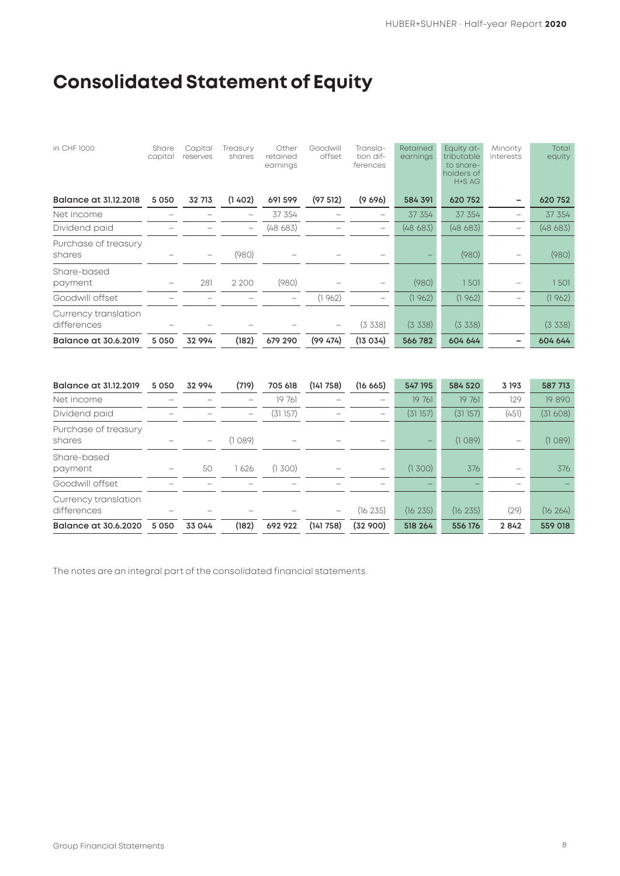# **Consolidated Statement of Equity**

| in CHF 1000                         | Share<br>capital | Capital<br>reserves | Treasury<br>shares       | Other<br>retained<br>earnings | Goodwill<br>offset | Transla-<br>tion dif-<br>ferences | Retained<br>earnings | Equity at-<br>tributable<br>to share-<br>holders of<br>H+S AG | Minority<br><i>interests</i> | Total<br>equity |
|-------------------------------------|------------------|---------------------|--------------------------|-------------------------------|--------------------|-----------------------------------|----------------------|---------------------------------------------------------------|------------------------------|-----------------|
| Balance at 31.12.2018               | 5 0 5 0          | 32 713              | (1402)                   | 691 599                       | (97512)            | (9,696)                           | 584 391              | 620 752                                                       |                              | 620 752         |
| Net income                          |                  |                     |                          | 37 354                        |                    |                                   | 37 354               | 37 354                                                        |                              | 37 354          |
| Dividend paid                       |                  |                     | $\overline{\phantom{m}}$ | (48683)                       |                    | -                                 | (48683)              | (48683)                                                       |                              | (48683)         |
| Purchase of treasury<br>shares      |                  |                     | (980)                    |                               |                    |                                   |                      | (980)                                                         |                              | (980)           |
| Share-based<br>payment              |                  | 281                 | 2 2 0 0                  | (980)                         |                    |                                   | (980)                | 1501                                                          |                              | 1501            |
| Goodwill offset                     |                  |                     |                          |                               | (1962)             |                                   | (1962)               | (1962)                                                        |                              | (1962)          |
| Currency translation<br>differences |                  |                     |                          |                               |                    | (3, 338)                          | (3, 338)             | $(3\;338)$                                                    |                              | (3, 338)        |
| Balance at 30.6.2019                | 5 0 5 0          | 32 994              | (182)                    | 679 290                       | (99, 474)          | (13034)                           | 566 782              | 604 644                                                       |                              | 604 644         |

| Balance at 31.12.2019               | 5 0 5 0 | 32 994            | (719)   | 705 618 | (141758) | (16665)  | 547 195  | 584 520  | 3 1 9 3                  | 587 713  |
|-------------------------------------|---------|-------------------|---------|---------|----------|----------|----------|----------|--------------------------|----------|
| Net income                          |         |                   |         | 19 761  |          |          | 19 761   | 19 761   | 129                      | 19890    |
| Dividend paid                       |         |                   | -       | (31157) |          | -        | (31157)  | (31157)  | (451)                    | (31608)  |
| Purchase of treasury<br>shares      |         | $\qquad \qquad -$ | (1 089) | -       |          |          |          | (1089)   | $\overline{\phantom{a}}$ | (1089)   |
| Share-based<br>payment              |         | 50                | 626     | (1,300) |          |          | (1,300)  | 376      |                          | 376      |
| Goodwill offset                     |         |                   |         |         |          |          |          |          |                          |          |
| Currency translation<br>differences |         |                   |         |         |          | (16 235) | (16 235) | (16 235) | (29)                     | (16 264) |
| Balance at 30.6.2020                | 5 0 5 0 | 33 044            | (182)   | 692922  | (141758) | (32900)  | 518 264  | 556 176  | 2842                     | 559 018  |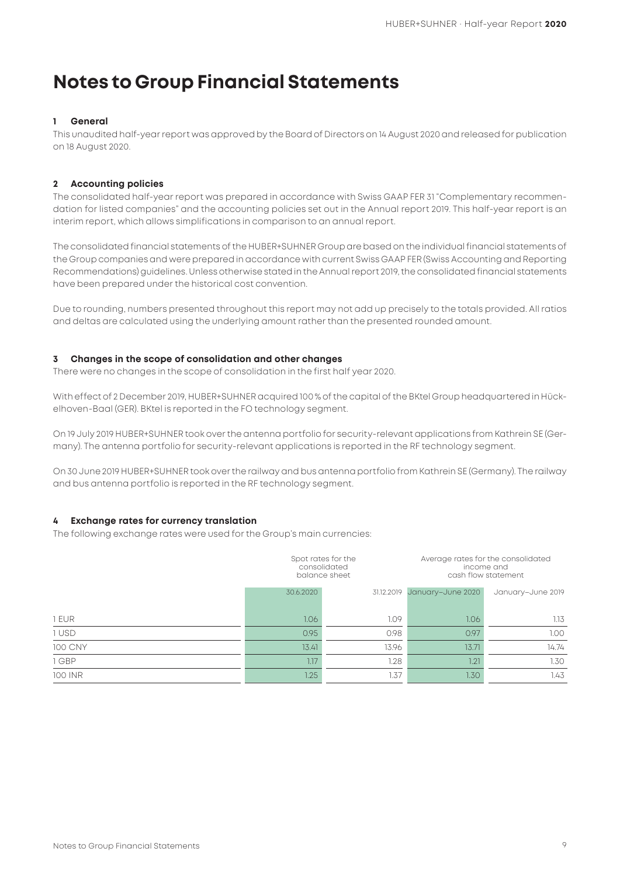## **Notes to Group Financial Statements**

### **1 General**

This unaudited half-year report was approved by the Board of Directors on 14 August 2020 and released for publication on 18 August 2020.

### **2 Accounting policies**

The consolidated half-year report was prepared in accordance with Swiss GAAP FER 31 "Complementary recommendation for listed companies" and the accounting policies set out in the Annual report 2019. This half-year report is an interim report, which allows simplifications in comparison to an annual report.

The consolidated financial statements of the HUBER+SUHNER Group are based on the individual financial statements of the Group companies and were prepared in accordance with current Swiss GAAP FER (Swiss Accounting and Reporting Recommendations) guidelines. Unless otherwise stated in the Annual report 2019, the consolidated financial statements have been prepared under the historical cost convention.

Due to rounding, numbers presented throughout this report may not add up precisely to the totals provided. All ratios and deltas are calculated using the underlying amount rather than the presented rounded amount.

### **3 Changes in the scope of consolidation and other changes**

There were no changes in the scope of consolidation in the first half year 2020.

With effect of 2 December 2019, HUBER+SUHNER acquired 100 % of the capital of the BKtel Group headquartered in Hückelhoven-Baal (GER). BKtel is reported in the FO technology segment.

On 19 July 2019 HUBER+SUHNER took over the antenna portfolio for security-relevant applications from Kathrein SE (Germany). The antenna portfolio for security-relevant applications is reported in the RF technology segment.

On 30 June 2019 HUBER+SUHNER took over the railway and bus antenna portfolio from Kathrein SE (Germany). The railway and bus antenna portfolio is reported in the RF technology segment.

### **4 Exchange rates for currency translation**

The following exchange rates were used for the Group's main currencies:

|                | Spot rates for the<br>consolidated<br>balance sheet |            |                   | Average rates for the consolidated<br>income and<br>cash flow statement |  |  |
|----------------|-----------------------------------------------------|------------|-------------------|-------------------------------------------------------------------------|--|--|
|                | 30.6.2020                                           | 31.12.2019 | January-June 2020 | January-June 2019                                                       |  |  |
| 1 EUR          | 1.06                                                | 1.09       | 1.06              | 1.13                                                                    |  |  |
| 1 USD          | 0.95                                                | 0.98       | 0.97              | 1.00                                                                    |  |  |
| <b>100 CNY</b> | 13.41                                               | 13.96      | 13.71             | 14.74                                                                   |  |  |
| 1 GBP          | 1.17                                                | 1.28       | 1.21              | 1.30                                                                    |  |  |
| <b>100 INR</b> | 1.25                                                | 1.37       | 1.30              | 1.43                                                                    |  |  |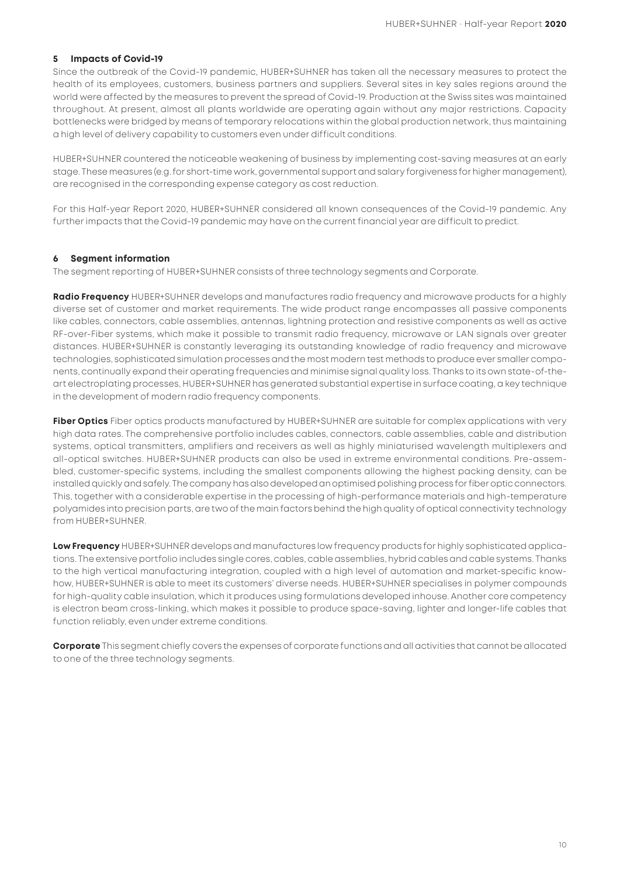### **5 Impacts of Covid-19**

Since the outbreak of the Covid-19 pandemic, HUBER+SUHNER has taken all the necessary measures to protect the health of its employees, customers, business partners and suppliers. Several sites in key sales regions around the world were affected by the measures to prevent the spread of Covid-19. Production at the Swiss sites was maintained throughout. At present, almost all plants worldwide are operating again without any major restrictions. Capacity bottlenecks were bridged by means of temporary relocations within the global production network, thus maintaining a high level of delivery capability to customers even under difficult conditions.

HUBER+SUHNER countered the noticeable weakening of business by implementing cost-saving measures at an early stage. These measures (e.g. for short-time work, governmental support and salary forgiveness for higher management), are recognised in the corresponding expense category as cost reduction.

For this Half-year Report 2020, HUBER+SUHNER considered all known consequences of the Covid-19 pandemic. Any further impacts that the Covid-19 pandemic may have on the current financial year are difficult to predict.

### **6 Segment information**

The segment reporting of HUBER+SUHNER consists of three technology segments and Corporate.

**Radio Frequency** HUBER+SUHNER develops and manufactures radio frequency and microwave products for a highly diverse set of customer and market requirements. The wide product range encompasses all passive components like cables, connectors, cable assemblies, antennas, lightning protection and resistive components as well as active RF-over-Fiber systems, which make it possible to transmit radio frequency, microwave or LAN signals over greater distances. HUBER+SUHNER is constantly leveraging its outstanding knowledge of radio frequency and microwave technologies, sophisticated simulation processes and the most modern test methods to produce ever smaller components, continually expand their operating frequencies and minimise signal quality loss. Thanks to its own state-of-theart electroplating processes, HUBER+SUHNER has generated substantial expertise in surface coating, a key technique in the development of modern radio frequency components.

**Fiber Optics** Fiber optics products manufactured by HUBER+SUHNER are suitable for complex applications with very high data rates. The comprehensive portfolio includes cables, connectors, cable assemblies, cable and distribution systems, optical transmitters, amplifiers and receivers as well as highly miniaturised wavelength multiplexers and all-optical switches. HUBER+SUHNER products can also be used in extreme environmental conditions. Pre-assembled, customer-specific systems, including the smallest components allowing the highest packing density, can be installed quickly and safely. The company has also developed an optimised polishing process for fiber optic connectors. This, together with a considerable expertise in the processing of high-performance materials and high-temperature polyamides into precision parts, are two of the main factors behind the high quality of optical connectivity technology from HUBER+SUHNER.

**Low Frequency** HUBER+SUHNER develops and manufactures low frequency products for highly sophisticated applications. The extensive portfolio includes single cores, cables, cable assemblies, hybrid cables and cable systems. Thanks to the high vertical manufacturing integration, coupled with a high level of automation and market-specific knowhow, HUBER+SUHNER is able to meet its customers' diverse needs. HUBER+SUHNER specialises in polymer compounds for high-quality cable insulation, which it produces using formulations developed inhouse. Another core competency is electron beam cross-linking, which makes it possible to produce space-saving, lighter and longer-life cables that function reliably, even under extreme conditions.

**Corporate** This segment chiefly covers the expenses of corporate functions and all activities that cannot be allocated to one of the three technology segments.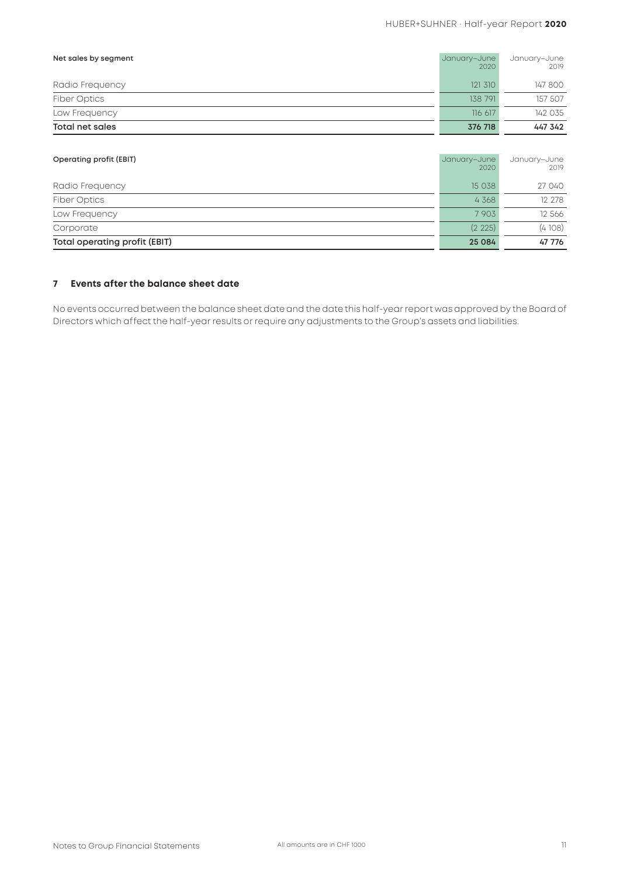| Total net sales      | 376 718              | 447 342              |
|----------------------|----------------------|----------------------|
| Low Frequency        | 116 617              | 142 035              |
| <b>Fiber Optics</b>  | 138 791              | 157 507              |
| Radio Frequency      | 121 310              | 147 800              |
| Net sales by segment | January-June<br>2020 | January-June<br>2019 |

| Operating profit (EBIT)       | January-June<br>2020 | January-June<br>2019 |
|-------------------------------|----------------------|----------------------|
| Radio Frequency               | 15 038               | 27 040               |
| <b>Fiber Optics</b>           | 4 3 6 8              | 12 278               |
| Low Frequency                 | 7903                 | 12 566               |
| Corporate                     | (2 225)              | (4108)               |
| Total operating profit (EBIT) | 25 084               | 47 776               |

### **7 Events after the balance sheet date**

No events occurred between the balance sheet date and the date this half-year report was approved by the Board of Directors which affect the half-year results or require any adjustments to the Group's assets and liabilities.